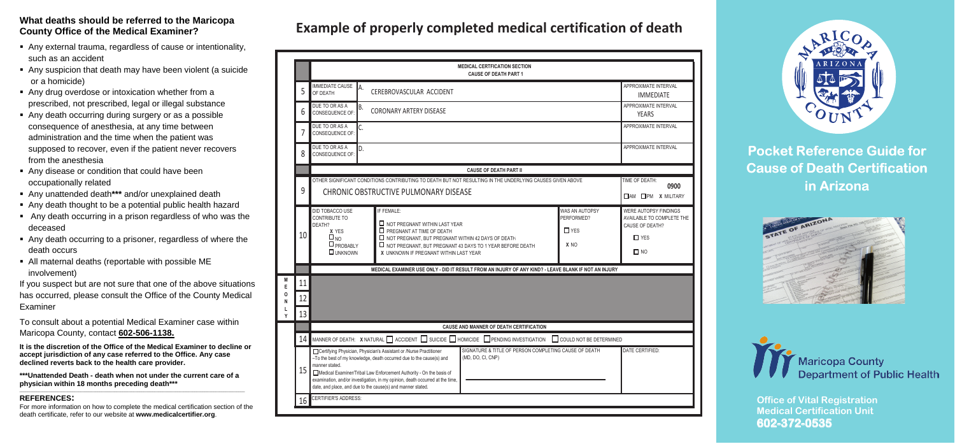#### **What deaths should be referred to the Maricopa County Office of the Medical Examiner?**

- Any external trauma, regardless of cause or intentionality, such as an accident
- Any suspicion that death may have been violent (a suicide or a homicide)
- Any drug overdose or intoxication whether from a prescribed, not prescribed, legal or illegal substance
- Any death occurring during surgery or as a possible consequence of anesthesia, at any time between administration and the time when the patient was supposed to recover, even if the patient never recovers from the anesthesia
- Any disease or condition that could have been occupationally related
- Any unattended death**\*\*\*** and/or unexplained death
- Any death thought to be a potential public health hazard
- Any death occurring in a prison regardless of who was the deceased
- Any death occurring to a prisoner, regardless of where the death occurs
- All maternal deaths (reportable with possible ME involvement)

If you suspect but are not sure that one of the above situations has occurred, please consult the Office of the County Medical Examiner

To consult about a potential Medical Examiner case within Maricopa County, contact **602-506-1138.**

**It is the discretion of the Office of the Medical Examiner to decline or accept jurisdiction of any case referred to the Office. Any case declined reverts back to the health care provider.** 

**\*\*\*Unattended Death - death when not under the current care of a physician within 18 months preceding death\*\*\***

#### **REFERENCES:**

For more information on how to complete the medical certification section of the death certificate, refer to our website at **www.medicalcertifier.org**.

## **Example of properly completed medical certification of death Example of properly completed medical certification of death**

|   |          | <b>MEDICAL CERTFICATION SECTION</b><br><b>CAUSE OF DEATH PART 1</b>                                                                                                                                                                                                                                                                                                                                                                                                                                                                                                                                    |                                                                                                         |  |  |
|---|----------|--------------------------------------------------------------------------------------------------------------------------------------------------------------------------------------------------------------------------------------------------------------------------------------------------------------------------------------------------------------------------------------------------------------------------------------------------------------------------------------------------------------------------------------------------------------------------------------------------------|---------------------------------------------------------------------------------------------------------|--|--|
|   | 5        | <b>IMMEDIATE CAUSE</b><br>IA.<br>CEREBROVASCULAR ACCIDENT<br>OF DEATH                                                                                                                                                                                                                                                                                                                                                                                                                                                                                                                                  | APPROXIMATE INTERVAL<br><b>IMMEDIATE</b>                                                                |  |  |
|   | 6        | DUE TO OR AS A<br>B.<br><b>CORONARY ARTERY DISEASE</b><br>CONSEQUENCE OF:                                                                                                                                                                                                                                                                                                                                                                                                                                                                                                                              | APPROXIMATE INTERVAL<br><b>YEARS</b>                                                                    |  |  |
|   | 7        | DUE TO OR AS A<br>C.<br>CONSEQUENCE OF:                                                                                                                                                                                                                                                                                                                                                                                                                                                                                                                                                                | APPROXIMATE INTERVAL                                                                                    |  |  |
|   | 8        | DUE TO OR AS A<br>D.<br>CONSEQUENCE OF:                                                                                                                                                                                                                                                                                                                                                                                                                                                                                                                                                                | APPROXIMATE INTERVAL                                                                                    |  |  |
|   |          | <b>CAUSE OF DEATH PART II</b>                                                                                                                                                                                                                                                                                                                                                                                                                                                                                                                                                                          |                                                                                                         |  |  |
|   | 9        | OTHER SIGNIFICANT CONDITIONS CONTRIBUTING TO DEATH BUT NOT RESULTING IN THE UNDERLYING CAUSES GIVEN ABOVE<br>CHRONIC OBSTRUCTIVE PULMONARY DISEASE                                                                                                                                                                                                                                                                                                                                                                                                                                                     | TIME OF DEATH:<br>0900<br>$\Box$ AM $\Box$ PM X MILITARY                                                |  |  |
|   | 10       | IF FEMALE:<br>WAS AN AUTOPSY<br>DID TOBACCO USE<br>PERFORMED?<br>CONTRIBUTE TO<br>$\Box$ NOT PREGNANT WITHIN LAST YEAR<br>DEATH?<br>$\Box$ PREGNANT AT TIME OF DEATH<br>$\square$ YES<br>$\overset{\text{X} \ YES}{\Box}_{\text{NO}}$<br>NOT PREGNANT, BUT PREGNANT WITHIN 42 DAYS OF DEATH<br>$\Box$ PROBABLY<br>X <sub>NO</sub><br>$\Box$ NOT PREGNANT, BUT PREGNANT 43 DAYS TO 1 YEAR BEFORE DEATH<br>$\Box$ UNKNOWN<br>X UNKNOWN IF PREGNANT WITHIN LAST YEAR                                                                                                                                      | <b>WERE AUTOPSY FINDINGS</b><br>AVAILABLE TO COMPLETE THE<br>CAUSE OF DEATH?<br>$\Box$ YES<br>$\Box$ NO |  |  |
|   |          | MEDICAL EXAMINER USE ONLY - DID IT RESULT FROM AN INJURY OF ANY KIND? - LEAVE BLANK IF NOT AN INJURY                                                                                                                                                                                                                                                                                                                                                                                                                                                                                                   |                                                                                                         |  |  |
| Ý | 11<br>12 |                                                                                                                                                                                                                                                                                                                                                                                                                                                                                                                                                                                                        |                                                                                                         |  |  |
|   | 13       |                                                                                                                                                                                                                                                                                                                                                                                                                                                                                                                                                                                                        |                                                                                                         |  |  |
|   |          | <b>CAUSE AND MANNER OF DEATH CERTIFICATION</b>                                                                                                                                                                                                                                                                                                                                                                                                                                                                                                                                                         |                                                                                                         |  |  |
|   | 14<br>15 | MANNER OF DEATH: X NATURAL $\Box$ ACCIDENT $\Box$ SUICIDE $\Box$ HOMICIDE $\Box$ PENDING INVESTIGATION<br>COULD NOT BE DETERMINED<br>SIGNATURE & TITLE OF PERSON COMPLETING CAUSE OF DEATH<br>Certifying Physician, Physician's Assistant or /Nurse Practitioner<br>(MD, DO, CI, CNP)<br>-To the best of my knowledge, death occurred due to the cause(s) and<br>manner stated.<br>Medical Examiner/Tribal Law Enforcement Authority - On the basis of<br>examination, and/or investigation, in my opinion, death occurred at the time,<br>date, and place, and due to the cause(s) and manner stated. | DATE CERTIFIED:                                                                                         |  |  |
|   | 16       | <b>CERTIFIER'S ADDRESS:</b>                                                                                                                                                                                                                                                                                                                                                                                                                                                                                                                                                                            |                                                                                                         |  |  |



# **Pocket Reference Guide for Cause of Death Certification in Arizona**





**602-372-0535Office of Vital Re gistration Medical Certification Unit**